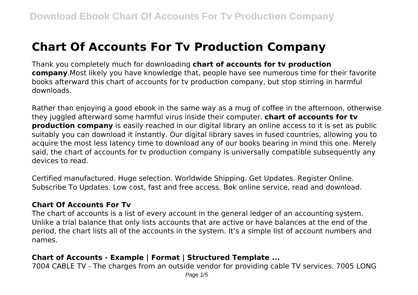# **Chart Of Accounts For Tv Production Company**

Thank you completely much for downloading **chart of accounts for tv production company**.Most likely you have knowledge that, people have see numerous time for their favorite books afterward this chart of accounts for tv production company, but stop stirring in harmful downloads.

Rather than enjoying a good ebook in the same way as a mug of coffee in the afternoon, otherwise they juggled afterward some harmful virus inside their computer. **chart of accounts for tv production company** is easily reached in our digital library an online access to it is set as public suitably you can download it instantly. Our digital library saves in fused countries, allowing you to acquire the most less latency time to download any of our books bearing in mind this one. Merely said, the chart of accounts for tv production company is universally compatible subsequently any devices to read.

Certified manufactured. Huge selection. Worldwide Shipping. Get Updates. Register Online. Subscribe To Updates. Low cost, fast and free access. Bok online service, read and download.

## **Chart Of Accounts For Tv**

The chart of accounts is a list of every account in the general ledger of an accounting system. Unlike a trial balance that only lists accounts that are active or have balances at the end of the period, the chart lists all of the accounts in the system. It's a simple list of account numbers and names.

## **Chart of Accounts - Example | Format | Structured Template ...**

7004 CABLE TV - The charges from an outside vendor for providing cable TV services. 7005 LONG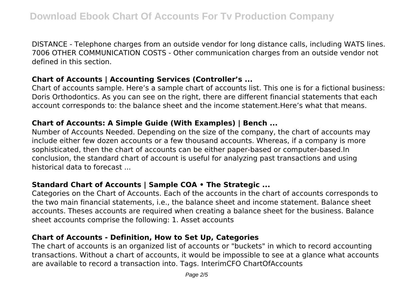DISTANCE - Telephone charges from an outside vendor for long distance calls, including WATS lines. 7006 OTHER COMMUNICATION COSTS - Other communication charges from an outside vendor not defined in this section.

### **Chart of Accounts | Accounting Services (Controller's ...**

Chart of accounts sample. Here's a sample chart of accounts list. This one is for a fictional business: Doris Orthodontics. As you can see on the right, there are different financial statements that each account corresponds to: the balance sheet and the income statement.Here's what that means.

## **Chart of Accounts: A Simple Guide (With Examples) | Bench ...**

Number of Accounts Needed. Depending on the size of the company, the chart of accounts may include either few dozen accounts or a few thousand accounts. Whereas, if a company is more sophisticated, then the chart of accounts can be either paper-based or computer-based.In conclusion, the standard chart of account is useful for analyzing past transactions and using historical data to forecast ...

# **Standard Chart of Accounts | Sample COA • The Strategic ...**

Categories on the Chart of Accounts. Each of the accounts in the chart of accounts corresponds to the two main financial statements, i.e., the balance sheet and income statement. Balance sheet accounts. Theses accounts are required when creating a balance sheet for the business. Balance sheet accounts comprise the following: 1. Asset accounts

## **Chart of Accounts - Definition, How to Set Up, Categories**

The chart of accounts is an organized list of accounts or "buckets" in which to record accounting transactions. Without a chart of accounts, it would be impossible to see at a glance what accounts are available to record a transaction into. Tags. InterimCFO ChartOfAccounts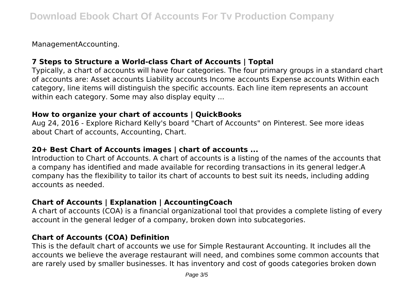ManagementAccounting.

# **7 Steps to Structure a World-class Chart of Accounts | Toptal**

Typically, a chart of accounts will have four categories. The four primary groups in a standard chart of accounts are: Asset accounts Liability accounts Income accounts Expense accounts Within each category, line items will distinguish the specific accounts. Each line item represents an account within each category. Some may also display equity ...

## **How to organize your chart of accounts | QuickBooks**

Aug 24, 2016 - Explore Richard Kelly's board "Chart of Accounts" on Pinterest. See more ideas about Chart of accounts, Accounting, Chart.

# **20+ Best Chart of Accounts images | chart of accounts ...**

Introduction to Chart of Accounts. A chart of accounts is a listing of the names of the accounts that a company has identified and made available for recording transactions in its general ledger.A company has the flexibility to tailor its chart of accounts to best suit its needs, including adding accounts as needed.

# **Chart of Accounts | Explanation | AccountingCoach**

A chart of accounts (COA) is a financial organizational tool that provides a complete listing of every account in the general ledger of a company, broken down into subcategories.

# **Chart of Accounts (COA) Definition**

This is the default chart of accounts we use for Simple Restaurant Accounting. It includes all the accounts we believe the average restaurant will need, and combines some common accounts that are rarely used by smaller businesses. It has inventory and cost of goods categories broken down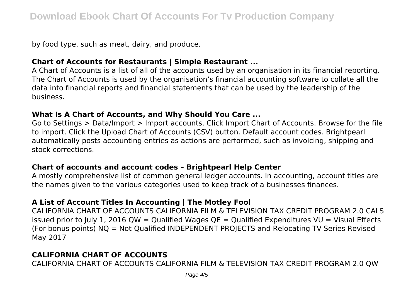by food type, such as meat, dairy, and produce.

## **Chart of Accounts for Restaurants | Simple Restaurant ...**

A Chart of Accounts is a list of all of the accounts used by an organisation in its financial reporting. The Chart of Accounts is used by the organisation's financial accounting software to collate all the data into financial reports and financial statements that can be used by the leadership of the business.

#### **What Is A Chart of Accounts, and Why Should You Care ...**

Go to Settings > Data/Import > Import accounts. Click Import Chart of Accounts. Browse for the file to import. Click the Upload Chart of Accounts (CSV) button. Default account codes. Brightpearl automatically posts accounting entries as actions are performed, such as invoicing, shipping and stock corrections.

## **Chart of accounts and account codes – Brightpearl Help Center**

A mostly comprehensive list of common general ledger accounts. In accounting, account titles are the names given to the various categories used to keep track of a businesses finances.

# **A List of Account Titles In Accounting | The Motley Fool**

CALIFORNIA CHART OF ACCOUNTS CALIFORNIA FILM & TELEVISION TAX CREDIT PROGRAM 2.0 CALS issued prior to July 1, 2016 QW = Qualified Wages  $OE =$  Qualified Expenditures VU = Visual Effects (For bonus points) NQ = Not-Qualified INDEPENDENT PROJECTS and Relocating TV Series Revised May 2017

# **CALIFORNIA CHART OF ACCOUNTS**

CALIFORNIA CHART OF ACCOUNTS CALIFORNIA FILM & TELEVISION TAX CREDIT PROGRAM 2.0 QW